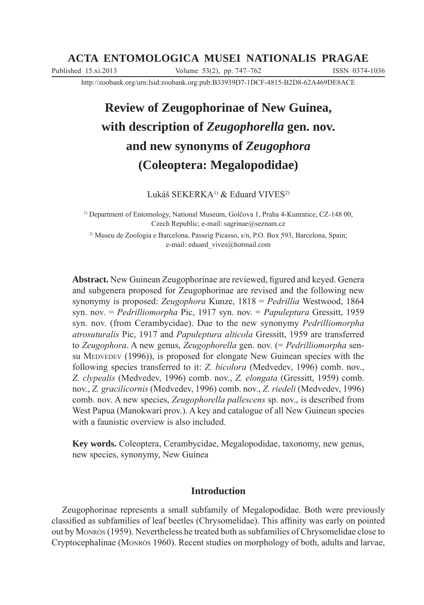# **ACTA ENTOMOLOGICA MUSEI NATIONALIS PRAGAE**

Published 15.xi.2013 Volume 53(2), pp. 747–762 ISSN 0374-1036

http://zoobank.org/urn:lsid:zoobank.org:pub:B33939D7-1DCF-4815-B2D8-62A469DE8ACE

# **Review of Zeugophorinae of New Guinea, with description of** *Zeugophorella* **gen. nov. and new synonyms of** *Zeugophora*  **(Coleoptera: Megalopodidae)**

Lukáš SEKERKA<sup>1)</sup> & Eduard VIVES<sup>2)</sup>

<sup>1)</sup> Department of Entomology, National Museum, Golčova 1, Praha 4-Kunratice, CZ-148 00, Czech Republic; e-mail: sagrinae@seznam.cz

2) Museu de Zoologia e Barcelona, Passeig Picasso, s/n, P.O. Box 593, Barcelona, Spain; e-mail: eduard\_vives@hotmail.com

**Abstract.** New Guinean Zeugophorinae are reviewed, figured and keyed. Genera and subgenera proposed for Zeugophorinae are revised and the following new synonymy is proposed: *Zeugophora* Kunze, 1818 = *Pedrillia* Westwood, 1864 syn. nov. = *Pedrilliomorpha* Pic, 1917 syn. nov. = *Papuleptura* Gressitt, 1959 syn. nov. (from Cerambycidae). Due to the new synonymy *Pedrilliomorpha atrosuturalis* Pic, 1917 and *Papuleptura alticola* Gressitt, 1959 are transferred to *Zeugophora*. A new genus, *Zeugophorella* gen. nov. (= *Pedrilliomorpha* sensu MEDVEDEV (1996)), is proposed for elongate New Guinean species with the following species transferred to it: *Z. bicolora* (Medvedev, 1996) comb. nov., *Z. clypealis* (Medvedev, 1996) comb. nov., *Z. elongata* (Gressitt, 1959) comb. nov., *Z. gracilicornis* (Medvedev, 1996) comb. nov., *Z. riedeli* (Medvedev, 1996) comb. nov. A new species, *Zeugophorella pallescens* sp. nov., is described from West Papua (Manokwari prov.). A key and catalogue of all New Guinean species with a faunistic overview is also included.

**Key words.** Coleoptera, Cerambycidae, Megalopodidae, taxonomy, new genus, new species, synonymy, New Guinea

# **Introduction**

Zeugophorinae represents a small subfamily of Megalopodidae. Both were previously classified as subfamilies of leaf beetles (Chrysomelidae). This affinity was early on pointed out by MONRÓS (1959). Nevertheless he treated both as subfamilies of Chrysomelidae close to Cryptocephalinae (MONRÓS 1960). Recent studies on morphology of both, adults and larvae,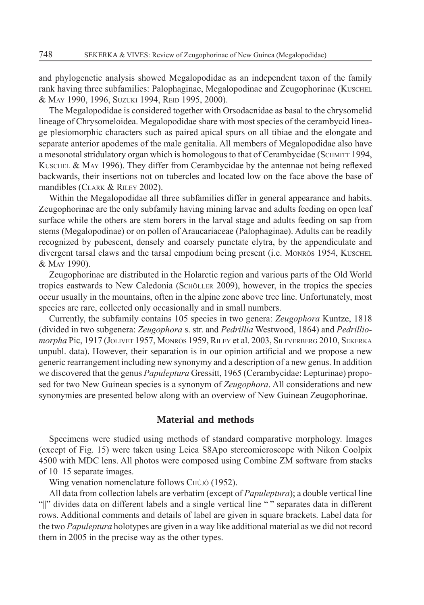and phylogenetic analysis showed Megalopodidae as an independent taxon of the family rank having three subfamilies: Palophaginae, Megalopodinae and Zeugophorinae (KUSCHEL & MAY 1990, 1996, SUZUKI 1994, REID 1995, 2000).

The Megalopodidae is considered together with Orsodacnidae as basal to the chrysomelid lineage of Chrysomeloidea. Megalopodidae share with most species of the cerambycid lineage plesiomorphic characters such as paired apical spurs on all tibiae and the elongate and separate anterior apodemes of the male genitalia. All members of Megalopodidae also have a mesonotal stridulatory organ which is homologous to that of Cerambycidae (SCHMITT 1994, KUSCHEL & MAY 1996). They differ from Cerambycidae by the antennae not being reflexed backwards, their insertions not on tubercles and located low on the face above the base of mandibles (CLARK & RILEY 2002).

Within the Megalopodidae all three subfamilies differ in general appearance and habits. Zeugophorinae are the only subfamily having mining larvae and adults feeding on open leaf surface while the others are stem borers in the larval stage and adults feeding on sap from stems (Megalopodinae) or on pollen of Araucariaceae (Palophaginae). Adults can be readily recognized by pubescent, densely and coarsely punctate elytra, by the appendiculate and divergent tarsal claws and the tarsal empodium being present (i.e. MONRÓS 1954, KUSCHEL & MAY 1990).

Zeugophorinae are distributed in the Holarctic region and various parts of the Old World tropics eastwards to New Caledonia (SCHÖLLER 2009), however, in the tropics the species occur usually in the mountains, often in the alpine zone above tree line. Unfortunately, most species are rare, collected only occasionally and in small numbers.

Currently, the subfamily contains 105 species in two genera: *Zeugophora* Kuntze, 1818 (divided in two subgenera: *Zeugophora* s. str. and *Pedrillia* Westwood, 1864) and *Pedrilliomorpha* Pic, 1917 (JOLIVET 1957, MONRÓS 1959, RILEY et al. 2003, SILFVERBERG 2010, SEKERKA unpubl. data). However, their separation is in our opinion artificial and we propose a new generic rearrangement including new synonymy and a description of a new genus. In addition we discovered that the genus *Papuleptura* Gressitt, 1965 (Cerambycidae: Lepturinae) proposed for two New Guinean species is a synonym of *Zeugophora*. All considerations and new synonymies are presented below along with an overview of New Guinean Zeugophorinae.

## **Material and methods**

Specimens were studied using methods of standard comparative morphology. Images (except of Fig. 15) were taken using Leica S8Apo stereomicroscope with Nikon Coolpix 4500 with MDC lens. All photos were composed using Combine ZM software from stacks of 10–15 separate images.

Wing venation nomenclature follows CHÛJÔ (1952).

All data from collection labels are verbatim (except of *Papuleptura*); a double vertical line "||" divides data on different labels and a single vertical line "|" separates data in different rows. Additional comments and details of label are given in square brackets. Label data for the two *Papuleptura* holotypes are given in a way like additional material as we did not record them in 2005 in the precise way as the other types.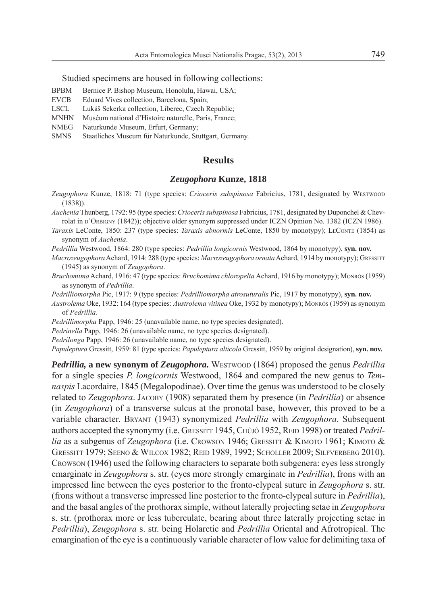Studied specimens are housed in following collections:

- BPBM Bernice P. Bishop Museum, Honolulu, Hawai, USA;
- EVCB Eduard Vives collection, Barcelona, Spain;
- LSCL Lukáš Sekerka collection, Liberec, Czech Republic;
- MNHN Muséum national d'Histoire naturelle, Paris, France;
- NMEG Naturkunde Museum, Erfurt, Germany;
- SMNS Staatliches Museum für Naturkunde, Stuttgart, Germany.

## **Results**

#### *Zeugophora* **Kunze, 1818**

- *Zeugophora* Kunze, 1818: 71 (type species: *Crioceris subspinosa* Fabricius, 1781, designated by WESTWOOD (1838)).
- *Auchenia* Thunberg, 1792: 95 (type species: *Crioceris subspinosa* Fabricius, 1781, designated by Duponchel & Chevrolat in D'ORBIGNY (1842)); objective older synonym suppressed under ICZN Opinion No. 1382 (ICZN 1986).
- *Taraxis* LeConte, 1850: 237 (type species: *Taraxis abnormis* LeConte, 1850 by monotypy); LECONTE (1854) as synonym of *Auchenia*.
- *Pedrillia* Westwood, 1864: 280 (type species: *Pedrillia longicornis* Westwood, 1864 by monotypy), **syn. nov.**
- *Macrozeugophora* Achard, 1914: 288 (type species: *Macrozeugophora ornata* Achard, 1914 by monotypy); GRESSITT (1945) as synonym of *Zeugophora*.
- *Bruchomima* Achard, 1916: 47 (type species: *Bruchomima chloropelta* Achard, 1916 by monotypy); MONRÓS (1959) as synonym of *Pedrillia*.
- *Pedrilliomorpha* Pic, 1917: 9 (type species: *Pedrilliomorpha atrosuturalis* Pic, 1917 by monotypy), **syn. nov.**
- *Austrolema* Oke, 1932: 164 (type species: *Austrolema vitinea* Oke, 1932 by monotypy); MONRÓS (1959) as synonym of *Pedrillia*.
- *Pedrillimorpha* Papp, 1946: 25 (unavailable name, no type species designated).
- *Pedrinella* Papp, 1946: 26 (unavailable name, no type species designated).
- *Pedrilonga* Papp, 1946: 26 (unavailable name, no type species designated).

*Papuleptura* Gressitt, 1959: 81 (type species: *Papuleptura alticola* Gressitt, 1959 by original designation), **syn. nov.**

*Pedrillia,* **a new synonym of** *Zeugophora.* WESTWOOD (1864) proposed the genus *Pedrillia* for a single species *P. longicornis* Westwood, 1864 and compared the new genus to *Temnaspis* Lacordaire, 1845 (Megalopodinae). Over time the genus was understood to be closely related to *Zeugophora*. JACOBY (1908) separated them by presence (in *Pedrillia*) or absence (in *Zeugophora*) of a transverse sulcus at the pronotal base, however, this proved to be a variable character. BRYANT (1943) synonymized *Pedrillia* with *Zeugophora*. Subsequent authors accepted the synonymy (i.e. GRESSITT 1945, CHÛJÔ 1952, REID 1998) or treated *Pedrillia* as a subgenus of *Zeugophora* (i.e. CROWSON 1946; GRESSITT & KIMOTO 1961; KIMOTO & GRESSITT 1979; SEENO & WILCOX 1982; REID 1989, 1992; SCHÖLLER 2009; SILFVERBERG 2010). CROWSON (1946) used the following characters to separate both subgenera: eyes less strongly emarginate in *Zeugophora* s. str. (eyes more strongly emarginate in *Pedrillia*), frons with an impressed line between the eyes posterior to the fronto-clypeal suture in *Zeugophora* s. str. (frons without a transverse impressed line posterior to the fronto-clypeal suture in *Pedrillia*), and the basal angles of the prothorax simple, without laterally projecting setae in *Zeugophora* s. str. (prothorax more or less tuberculate, bearing about three laterally projecting setae in *Pedrillia*), *Zeugophora* s. str. being Holarctic and *Pedrillia* Oriental and Afrotropical. The emargination of the eye is a continuously variable character of low value for delimiting taxa of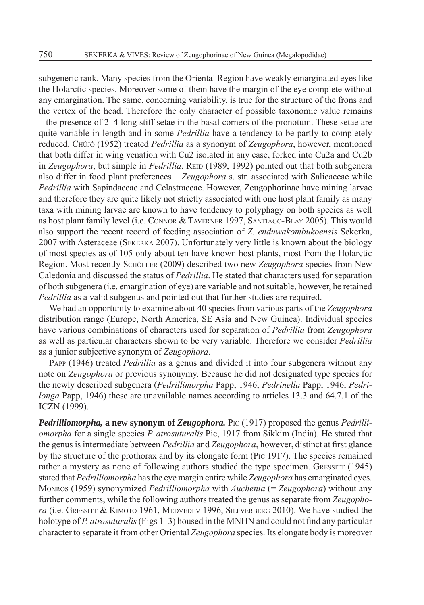subgeneric rank. Many species from the Oriental Region have weakly emarginated eyes like the Holarctic species. Moreover some of them have the margin of the eye complete without any emargination. The same, concerning variability, is true for the structure of the frons and the vertex of the head. Therefore the only character of possible taxonomic value remains – the presence of 2–4 long stiff setae in the basal corners of the pronotum. These setae are quite variable in length and in some *Pedrillia* have a tendency to be partly to completely reduced. CHÛJÔ (1952) treated *Pedrillia* as a synonym of *Zeugophora*, however, mentioned that both differ in wing venation with Cu2 isolated in any case, forked into Cu2a and Cu2b in *Zeugophora*, but simple in *Pedrillia*. REID (1989, 1992) pointed out that both subgenera also differ in food plant preferences – *Zeugophora* s. str. associated with Salicaceae while *Pedrillia* with Sapindaceae and Celastraceae. However, Zeugophorinae have mining larvae and therefore they are quite likely not strictly associated with one host plant family as many taxa with mining larvae are known to have tendency to polyphagy on both species as well as host plant family level (i.e. CONNOR & TAVERNER 1997, SANTIAGO-BLAY 2005). This would also support the recent record of feeding association of *Z. enduwakombukoensis* Sekerka, 2007 with Asteraceae (SEKERKA 2007). Unfortunately very little is known about the biology of most species as of 105 only about ten have known host plants, most from the Holarctic Region. Most recently SCHÖLLER (2009) described two new *Zeugophora* species from New Caledonia and discussed the status of *Pedrillia*. He stated that characters used for separation of both subgenera (i.e. emargination of eye) are variable and not suitable, however, he retained *Pedrillia* as a valid subgenus and pointed out that further studies are required.

We had an opportunity to examine about 40 species from various parts of the *Zeugophora* distribution range (Europe, North America, SE Asia and New Guinea). Individual species have various combinations of characters used for separation of *Pedrillia* from *Zeugophora* as well as particular characters shown to be very variable. Therefore we consider *Pedrillia* as a junior subjective synonym of *Zeugophora*.

PAPP (1946) treated *Pedrillia* as a genus and divided it into four subgenera without any note on *Zeugophora* or previous synonymy. Because he did not designated type species for the newly described subgenera (*Pedrillimorpha* Papp, 1946, *Pedrinella* Papp, 1946, *Pedrilonga* Papp, 1946) these are unavailable names according to articles 13.3 and 64.7.1 of the ICZN (1999).

*Pedrilliomorpha,* a new synonym of Zeugophora. PIC (1917) proposed the genus *Pedrilliomorpha* for a single species *P. atrosuturalis* Pic, 1917 from Sikkim (India). He stated that the genus is intermediate between *Pedrillia* and *Zeugophora*, however, distinct at first glance by the structure of the prothorax and by its elongate form (PIC 1917). The species remained rather a mystery as none of following authors studied the type specimen. GRESSITT (1945) stated that *Pedrilliomorpha* has the eye margin entire while *Zeugophora* has emarginated eyes. MONRÓS (1959) synonymized *Pedrilliomorpha* with *Auchenia* (= *Zeugophora*) without any further comments, while the following authors treated the genus as separate from *Zeugophora* (i.e. GRESSITT & KIMOTO 1961, MEDVEDEV 1996, SILFVERBERG 2010). We have studied the holotype of *P. atrosuturalis* (Figs 1–3) housed in the MNHN and could not find any particular character to separate it from other Oriental *Zeugophora* species. Its elongate body is moreover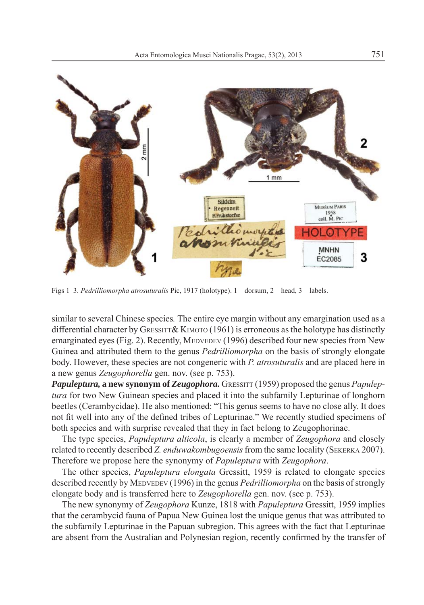

Figs 1–3. *Pedrilliomorpha atrosuturalis* Pic, 1917 (holotype). 1 – dorsum, 2 – head, 3 – labels.

similar to several Chinese species*.* The entire eye margin without any emargination used as a differential character by GRESSITT & KIMOTO  $(1961)$  is erroneous as the holotype has distinctly emarginated eyes (Fig. 2). Recently, MEDVEDEV (1996) described four new species from New Guinea and attributed them to the genus *Pedrilliomorpha* on the basis of strongly elongate body. However, these species are not congeneric with *P. atrosuturalis* and are placed here in a new genus *Zeugophorella* gen. nov. (see p. 753).

*Papuleptura,* **a new synonym of** *Zeugophora*. GRESSITT (1959) proposed the genus *Papuleptura* for two New Guinean species and placed it into the subfamily Lepturinae of longhorn beetles (Cerambycidae). He also mentioned: "This genus seems to have no close ally. It does not fit well into any of the defined tribes of Lepturinae." We recently studied specimens of both species and with surprise revealed that they in fact belong to Zeugophorinae.

The type species, *Papuleptura alticola*, is clearly a member of *Zeugophora* and closely related to recently described *Z. enduwakombugoensis* from the same locality (SEKERKA 2007). Therefore we propose here the synonymy of *Papuleptura* with *Zeugophora*.

The other species, *Papuleptura elongata* Gressitt, 1959 is related to elongate species described recently by MEDVEDEV (1996) in the genus *Pedrilliomorpha* on the basis of strongly elongate body and is transferred here to *Zeugophorella* gen. nov. (see p. 753).

The new synonymy of *Zeugophora* Kunze, 1818 with *Papuleptura* Gressitt, 1959 implies that the cerambycid fauna of Papua New Guinea lost the unique genus that was attributed to the subfamily Lepturinae in the Papuan subregion. This agrees with the fact that Lepturinae are absent from the Australian and Polynesian region, recently confirmed by the transfer of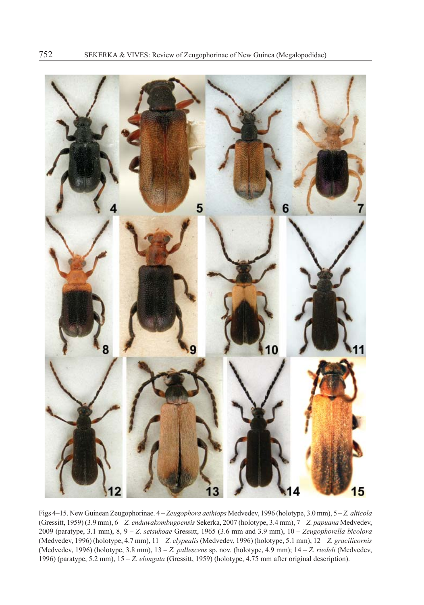

Figs 4–15. New Guinean Zeugophorinae. 4 – *Zeugophora aethiops* Medvedev, 1996 (holotype, 3.0 mm), 5 – *Z. alticola* (Gressitt, 1959) (3.9 mm), 6 – *Z. enduwakombugoensis* Sekerka, 2007 (holotype, 3.4 mm), 7 – *Z. papuana* Medvedev, 2009 (paratype, 3.1 mm), 8, 9 – *Z. setsukoae* Gressitt, 1965 (3.6 mm and 3.9 mm), 10 – *Zeugophorella bicolora* (Medvedev, 1996) (holotype, 4.7 mm), 11 – *Z. clypealis* (Medvedev, 1996) (holotype, 5.1 mm), 12 – *Z. gracilicornis* (Medvedev, 1996) (holotype, 3.8 mm), 13 – *Z. pallescens* sp. nov. (holotype, 4.9 mm); 14 – *Z. riedeli* (Medvedev, 1996) (paratype, 5.2 mm), 15 – *Z. elongata* (Gressitt, 1959) (holotype, 4.75 mm after original description).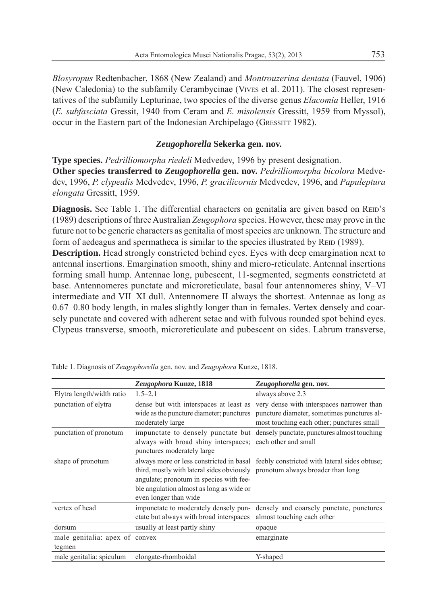*Blosyropus* Redtenbacher, 1868 (New Zealand) and *Montrouzerina dentata* (Fauvel, 1906) (New Caledonia) to the subfamily Cerambycinae (VIVES et al. 2011). The closest representatives of the subfamily Lepturinae, two species of the diverse genus *Elacomia* Heller, 1916 (*E. subfasciata* Gressit, 1940 from Ceram and *E. misolensis* Gressitt, 1959 from Myssol), occur in the Eastern part of the Indonesian Archipelago (GRESSITT 1982).

# *Zeugophorella* **Sekerka gen. nov.**

**Type species.** *Pedrilliomorpha riedeli* Medvedev, 1996 by present designation. **Other species transferred to** *Zeugophorella* **gen. nov.** *Pedrilliomorpha bicolora* Medvedev, 1996, *P. clypealis* Medvedev, 1996, *P. gracilicornis* Medvedev, 1996, and *Papuleptura elongata* Gressitt, 1959.

**Diagnosis.** See Table 1. The differential characters on genitalia are given based on REID's (1989) descriptions of three Australian *Zeugophora* species. However, these may prove in the future not to be generic characters as genitalia of most species are unknown. The structure and form of aedeagus and spermatheca is similar to the species illustrated by REID (1989).

**Description.** Head strongly constricted behind eyes. Eyes with deep emargination next to antennal insertions. Emargination smooth, shiny and micro-reticulate. Antennal insertions forming small hump. Antennae long, pubescent, 11-segmented, segments constrictetd at base. Antennomeres punctate and microreticulate, basal four antennomeres shiny, V–VI intermediate and VII–XI dull. Antennomere II always the shortest. Antennae as long as 0.67–0.80 body length, in males slightly longer than in females. Vertex densely and coarsely punctate and covered with adherent setae and with fulvous rounded spot behind eyes. Clypeus transverse, smooth, microreticulate and pubescent on sides. Labrum transverse,

|                                          | Zeugophora Kunze, 1818                                                                                                                                                                       | Zeugophorella gen. nov.                                                                                                                                                                                              |
|------------------------------------------|----------------------------------------------------------------------------------------------------------------------------------------------------------------------------------------------|----------------------------------------------------------------------------------------------------------------------------------------------------------------------------------------------------------------------|
| Elytra length/width ratio                | $1.5 - 2.1$                                                                                                                                                                                  | always above 2.3                                                                                                                                                                                                     |
| punctation of elytra                     | moderately large                                                                                                                                                                             | dense but with interspaces at least as very dense with interspaces narrower than<br>wide as the puncture diameter; punctures puncture diameter, sometimes punctures al-<br>most touching each other; punctures small |
| punctation of pronotum                   | always with broad shiny interspaces; each other and small<br>punctures moderately large                                                                                                      | impunctate to densely punctate but densely punctate, punctures almost touching                                                                                                                                       |
| shape of pronotum                        | third, mostly with lateral sides obviously pronotum always broader than long<br>angulate; pronotum in species with fee-<br>ble angulation almost as long as wide or<br>even longer than wide | always more or less constricted in basal feebly constricted with lateral sides obtuse;                                                                                                                               |
| vertex of head                           | impunctate to moderately densely pun-<br>ctate but always with broad interspaces                                                                                                             | densely and coarsely punctate, punctures<br>almost touching each other                                                                                                                                               |
| dorsum                                   | usually at least partly shiny                                                                                                                                                                | opaque                                                                                                                                                                                                               |
| male genitalia: apex of convex<br>tegmen |                                                                                                                                                                                              | emarginate                                                                                                                                                                                                           |
| male genitalia: spiculum                 | elongate-rhomboidal                                                                                                                                                                          | Y-shaped                                                                                                                                                                                                             |

Table 1. Diagnosis of *Zeugophorella* gen. nov. and *Zeugophora* Kunze, 1818.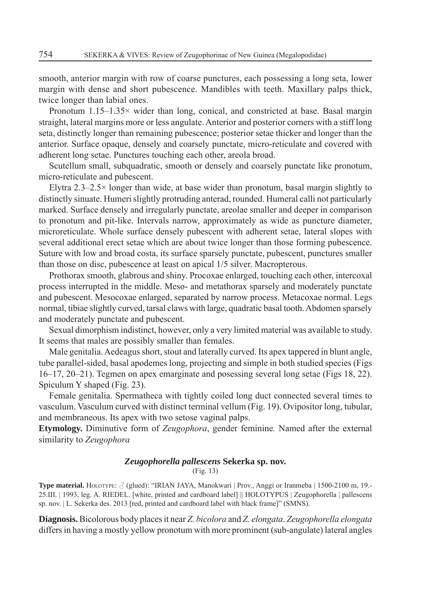smooth, anterior margin with row of coarse punctures, each possessing a long seta, lower margin with dense and short pubescence. Mandibles with teeth. Maxillary palps thick, twice longer than labial ones.

Pronotum  $1.15-1.35\times$  wider than long, conical, and constricted at base. Basal margin straight, lateral margins more or less angulate. Anterior and posterior corners with a stiff long seta, distinctly longer than remaining pubescence; posterior setae thicker and longer than the anterior. Surface opaque, densely and coarsely punctate, micro-reticulate and covered with adherent long setae. Punctures touching each other, areola broad.

Scutellum small, subquadratic, smooth or densely and coarsely punctate like pronotum, micro-reticulate and pubescent.

Elytra 2.3–2.5 $\times$  longer than wide, at base wider than pronotum, basal margin slightly to distinctly sinuate. Humeri slightly protruding anterad, rounded. Humeral calli not particularly marked. Surface densely and irregularly punctate, areolae smaller and deeper in comparison to pronotum and pit-like. Intervals narrow, approximately as wide as puncture diameter, microreticulate. Whole surface densely pubescent with adherent setae, lateral slopes with several additional erect setae which are about twice longer than those forming pubescence. Suture with low and broad costa, its surface sparsely punctate, pubescent, punctures smaller than those on disc, pubescence at least on apical 1/5 silver. Macropterous.

Prothorax smooth, glabrous and shiny. Procoxae enlarged, touching each other, intercoxal process interrupted in the middle. Meso- and metathorax sparsely and moderately punctate and pubescent. Mesocoxae enlarged, separated by narrow process. Metacoxae normal. Legs normal, tibiae slightly curved, tarsal claws with large, quadratic basal tooth. Abdomen sparsely and moderately punctate and pubescent.

Sexual dimorphism indistinct, however, only a very limited material was available to study. It seems that males are possibly smaller than females.

Male genitalia. Aedeagus short, stout and laterally curved. Its apex tappered in blunt angle, tube parallel-sided, basal apodemes long, projecting and simple in both studied species (Figs 16–17, 20–21). Tegmen on apex emarginate and posessing several long setae (Figs 18, 22). Spiculum Y shaped (Fig. 23).

Female genitalia. Spermatheca with tightly coiled long duct connected several times to vasculum. Vasculum curved with distinct terminal vellum (Fig. 19). Ovipositor long, tubular, and membraneous. Its apex with two setose vaginal palps.

**Etymology.** Diminutive form of *Zeugophora*, gender feminine*.* Named after the external similarity to *Zeugophora*

## *Zeugophorella pallescens* **Sekerka sp. nov.**

(Fig. 13)

**Type material.** HOLOTYPE: (glued): "IRIAN JAYA, Manokwari | Prov., Anggi or Iranmeba | 1500-2100 m, 19.- 25.III. | 1993, leg. A. RIEDEL. [white, printed and cardboard label] || HOLOTYPUS | Zeugophorella | pallescens sp. nov. | L. Sekerka des. 2013 [red, printed and cardboard label with black frame]" (SMNS).

**Diagnosis.** Bicolorous body places it near *Z. bicolora* and *Z. elongata*. *Zeugophorella elongata*  differs in having a mostly yellow pronotum with more prominent (sub-angulate) lateral angles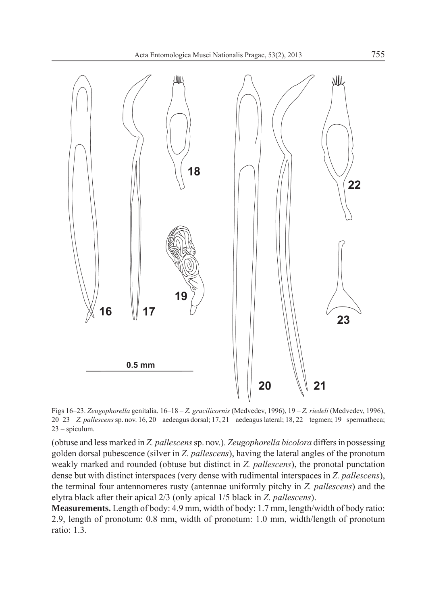

Figs 16–23. *Zeugophorella* genitalia. 16–18 – *Z. gracilicornis* (Medvedev, 1996), 19 – *Z. riedeli* (Medvedev, 1996), 20–23 – *Z. pallescens* sp. nov. 16, 20 – aedeagus dorsal; 17, 21 – aedeagus lateral; 18, 22 – tegmen; 19 –spermatheca; 23 – spiculum.

(obtuse and less marked in *Z. pallescens* sp. nov.). *Zeugophorella bicolora* differs in possessing golden dorsal pubescence (silver in *Z. pallescens*), having the lateral angles of the pronotum weakly marked and rounded (obtuse but distinct in *Z. pallescens*), the pronotal punctation dense but with distinct interspaces (very dense with rudimental interspaces in *Z. pallescens*), the terminal four antennomeres rusty (antennae uniformly pitchy in *Z. pallescens*) and the elytra black after their apical 2/3 (only apical 1/5 black in *Z. pallescens*).

**Measurements.** Length of body: 4.9 mm, width of body: 1.7 mm, length/width of body ratio: 2.9, length of pronotum: 0.8 mm, width of pronotum: 1.0 mm, width/length of pronotum ratio: 1.3.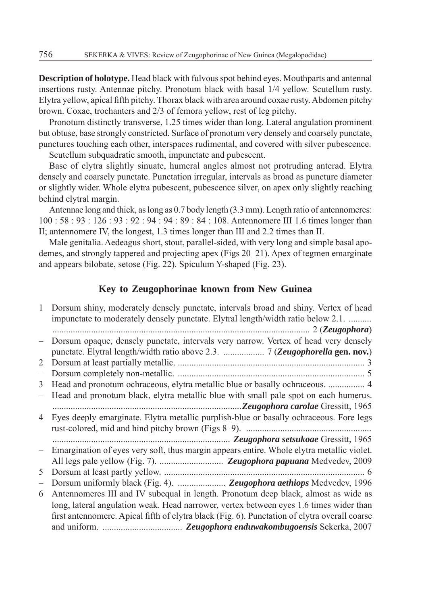**Description of holotype.** Head black with fulvous spot behind eyes. Mouthparts and antennal insertions rusty. Antennae pitchy. Pronotum black with basal 1/4 yellow. Scutellum rusty. Elytra yellow, apical fifth pitchy. Thorax black with area around coxae rusty. Abdomen pitchy brown. Coxae, trochanters and 2/3 of femora yellow, rest of leg pitchy.

Pronotum distinctly transverse, 1.25 times wider than long. Lateral angulation prominent but obtuse, base strongly constricted. Surface of pronotum very densely and coarsely punctate, punctures touching each other, interspaces rudimental, and covered with silver pubescence.

Scutellum subquadratic smooth, impunctate and pubescent.

Base of elytra slightly sinuate, humeral angles almost not protruding anterad. Elytra densely and coarsely punctate. Punctation irregular, intervals as broad as puncture diameter or slightly wider. Whole elytra pubescent, pubescence silver, on apex only slightly reaching behind elytral margin.

Antennae long and thick, as long as 0.7 body length (3.3 mm). Length ratio of antennomeres: 100 : 58 : 93 : 126 : 93 : 92 : 94 : 94 : 89 : 84 : 108. Antennomere III 1.6 times longer than II; antennomere IV, the longest, 1.3 times longer than III and 2.2 times than II.

Male genitalia. Aedeagus short, stout, parallel-sided, with very long and simple basal apodemes, and strongly tappered and projecting apex (Figs 20–21). Apex of tegmen emarginate and appears bilobate, setose (Fig. 22). Spiculum Y-shaped (Fig. 23).

# **Key to Zeugophorinae known from New Guinea**

| 1              | Dorsum shiny, moderately densely punctate, intervals broad and shiny. Vertex of head          |
|----------------|-----------------------------------------------------------------------------------------------|
|                | impunctate to moderately densely punctate. Elytral length/width ratio below 2.1.              |
|                |                                                                                               |
|                | Dorsum opaque, densely punctate, intervals very narrow. Vertex of head very densely           |
|                |                                                                                               |
| $\overline{2}$ |                                                                                               |
|                |                                                                                               |
| 3              | Head and pronotum ochraceous, elytra metallic blue or basally ochraceous.  4                  |
|                | Head and pronotum black, elytra metallic blue with small pale spot on each humerus.           |
|                | Zeugophora carolae Gressitt, 1965                                                             |
| 4              | Eyes deeply emarginate. Elytra metallic purplish-blue or basally ochraceous. Fore legs        |
|                |                                                                                               |
|                |                                                                                               |
|                | Emargination of eyes very soft, thus margin appears entire. Whole elytra metallic violet.     |
|                |                                                                                               |
| 5              |                                                                                               |
|                | Dorsum uniformly black (Fig. 4).  Zeugophora aethiops Medvedev, 1996                          |
| 6              | Antennomeres III and IV subequal in length. Pronotum deep black, almost as wide as            |
|                | long, lateral angulation weak. Head narrower, vertex between eyes 1.6 times wider than        |
|                | first antennomere. Apical fifth of elytra black (Fig. 6). Punctation of elytra overall coarse |
|                |                                                                                               |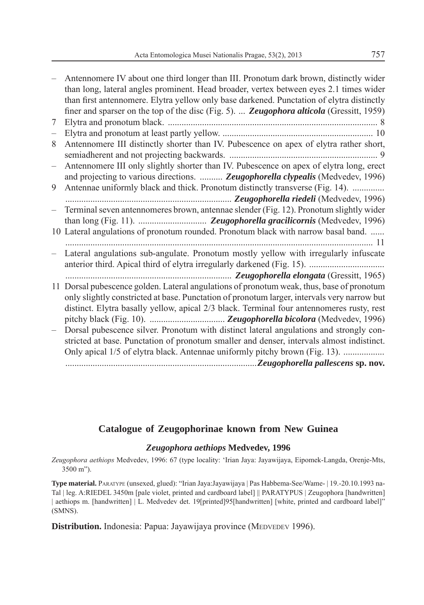|                          | Antennomere IV about one third longer than III. Pronotum dark brown, distinctly wider<br>than long, lateral angles prominent. Head broader, vertex between eyes 2.1 times wider<br>than first antennomere. Elytra yellow only base darkened. Punctation of elytra distinctly          |
|--------------------------|---------------------------------------------------------------------------------------------------------------------------------------------------------------------------------------------------------------------------------------------------------------------------------------|
|                          | finer and sparser on the top of the disc (Fig. 5). <b>Zeugophora alticola</b> (Gressitt, 1959)                                                                                                                                                                                        |
| 7                        |                                                                                                                                                                                                                                                                                       |
| $\overline{\phantom{0}}$ |                                                                                                                                                                                                                                                                                       |
| 8                        | Antennomere III distinctly shorter than IV. Pubescence on apex of elytra rather short,                                                                                                                                                                                                |
| $\overline{\phantom{0}}$ | Antennomere III only slightly shorter than IV. Pubescence on apex of elytra long, erect                                                                                                                                                                                               |
|                          | and projecting to various directions.  Zeugophorella clypealis (Medvedev, 1996)                                                                                                                                                                                                       |
| 9                        | Antennae uniformly black and thick. Pronotum distinctly transverse (Fig. 14).                                                                                                                                                                                                         |
|                          |                                                                                                                                                                                                                                                                                       |
|                          | Terminal seven antennomeres brown, antennae slender (Fig. 12). Pronotum slightly wider                                                                                                                                                                                                |
|                          |                                                                                                                                                                                                                                                                                       |
|                          | 10 Lateral angulations of pronotum rounded. Pronotum black with narrow basal band.                                                                                                                                                                                                    |
|                          | Lateral angulations sub-angulate. Pronotum mostly yellow with irregularly infuscate                                                                                                                                                                                                   |
|                          |                                                                                                                                                                                                                                                                                       |
|                          | 11 Dorsal pubescence golden. Lateral angulations of pronotum weak, thus, base of pronotum<br>only slightly constricted at base. Punctation of pronotum larger, intervals very narrow but<br>distinct. Elytra basally yellow, apical 2/3 black. Terminal four antennomeres rusty, rest |
|                          | Dorsal pubescence silver. Pronotum with distinct lateral angulations and strongly con-                                                                                                                                                                                                |
|                          | stricted at base. Punctation of pronotum smaller and denser, intervals almost indistinct.                                                                                                                                                                                             |
|                          | Only apical 1/5 of elytra black. Antennae uniformly pitchy brown (Fig. 13).                                                                                                                                                                                                           |
|                          |                                                                                                                                                                                                                                                                                       |
|                          |                                                                                                                                                                                                                                                                                       |

# **Catalogue of Zeugophorinae known from New Guinea**

## *Zeugophora aethiops* **Medvedev, 1996**

*Zeugophora aethiops* Medvedev, 1996: 67 (type locality: 'Irian Jaya: Jayawijaya, Eipomek-Langda, Orenje-Mts, 3500 m").

**Type material.** PARATYPE (unsexed, glued): "Irian Jaya:Jayawijaya | Pas Habbema-See/Wame- | 19.-20.10.1993 na-Tal | leg. A:RIEDEL 3450m [pale violet, printed and cardboard label] || PARATYPUS | Zeugophora [handwritten] | aethiops m. [handwritten] | L. Medvedev det. 19[printed]95[handwritten] [white, printed and cardboard label]" (SMNS).

**Distribution.** Indonesia: Papua: Jayawijaya province (MEDVEDEV 1996).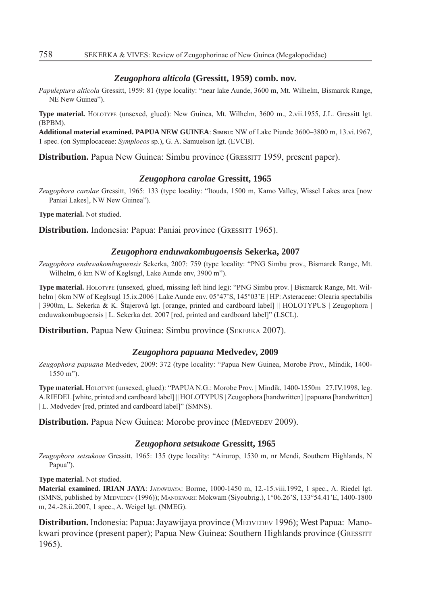#### *Zeugophora alticola* **(Gressitt, 1959) comb. nov.**

*Papuleptura alticola* Gressitt, 1959: 81 (type locality: "near lake Aunde, 3600 m, Mt. Wilhelm, Bismarck Range, NE New Guinea").

**Type material.** HOLOTYPE (unsexed, glued): New Guinea, Mt. Wilhelm, 3600 m., 2.vii.1955, J.L. Gressitt lgt. (BPBM).

**Additional material examined. PAPUA NEW GUINEA**: **SIMBU:** NW of Lake Piunde 3600–3800 m, 13.vi.1967, 1 spec. (on Symplocaceae: *Symplocos* sp.), G. A. Samuelson lgt. (EVCB).

**Distribution.** Papua New Guinea: Simbu province (GRESSITT 1959, present paper).

#### *Zeugophora carolae* **Gressitt, 1965**

*Zeugophora carolae* Gressitt, 1965: 133 (type locality: "Itouda, 1500 m, Kamo Valley, Wissel Lakes area [now Paniai Lakes], NW New Guinea").

**Type material.** Not studied.

**Distribution.** Indonesia: Papua: Paniai province (GRESSITT 1965).

#### *Zeugophora enduwakombugoensis* **Sekerka, 2007**

*Zeugophora enduwakombugoensis* Sekerka, 2007: 759 (type locality: "PNG Simbu prov., Bismarck Range, Mt. Wilhelm, 6 km NW of Keglsugl, Lake Aunde env, 3900 m").

**Type material.** HOLOTYPE (unsexed, glued, missing left hind leg): "PNG Simbu prov. | Bismarck Range, Mt. Wilhelm | 6km NW of Keglsugl 15.ix.2006 | Lake Aunde env. 05°47'S, 145°03'E | HP: Asteraceae: Olearia spectabilis | 3900m, L. Sekerka & K. Štajerová lgt. [orange, printed and cardboard label] || HOLOTYPUS | Zeugophora | enduwakombugoensis | L. Sekerka det. 2007 [red, printed and cardboard label]" (LSCL).

**Distribution.** Papua New Guinea: Simbu province (SEKERKA 2007).

#### *Zeugophora papuana* **Medvedev, 2009**

*Zeugophora papuana* Medvedev, 2009: 372 (type locality: "Papua New Guinea, Morobe Prov., Mindik, 1400- 1550 m").

**Type material.** HOLOTYPE (unsexed, glued): "PAPUA N.G.: Morobe Prov. | Mindik, 1400-1550m | 27.IV.1998, leg. A.RIEDEL [white, printed and cardboard label] || HOLOTYPUS | Zeugophora [handwritten] | papuana [handwritten] | L. Medvedev [red, printed and cardboard label]" (SMNS).

**Distribution.** Papua New Guinea: Morobe province (MEDVEDEV 2009).

## *Zeugophora setsukoae* **Gressitt, 1965**

*Zeugophora setsukoae* Gressitt, 1965: 135 (type locality: "Airurop, 1530 m, nr Mendi, Southern Highlands, N Papua").

**Type material.** Not studied.

**Material examined. IRIAN JAYA**: JAYAWIJAYA: Borme, 1000-1450 m, 12.-15.viii.1992, 1 spec., A. Riedel lgt. (SMNS, published by MEDVEDEV (1996)); MANOKWARI: Mokwam (Siyoubrig.), 1°06.26'S, 133°54.41'E, 1400-1800 m, 24.-28.ii.2007, 1 spec., A. Weigel lgt. (NMEG).

**Distribution.** Indonesia: Papua: Jayawijaya province (MEDVEDEV 1996); West Papua: Manokwari province (present paper); Papua New Guinea: Southern Highlands province (GRESSITT 1965).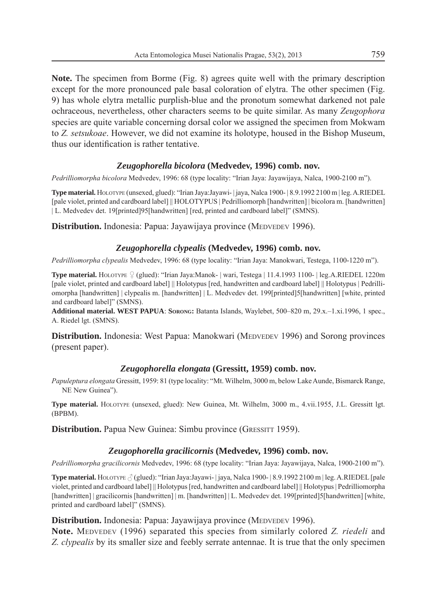**Note.** The specimen from Borme (Fig. 8) agrees quite well with the primary description except for the more pronounced pale basal coloration of elytra. The other specimen (Fig. 9) has whole elytra metallic purplish-blue and the pronotum somewhat darkened not pale ochraceous, nevertheless, other characters seems to be quite similar. As many *Zeugophora* species are quite variable concerning dorsal color we assigned the specimen from Mokwam to *Z. setsukoae*. However, we did not examine its holotype, housed in the Bishop Museum, thus our identification is rather tentative.

# *Zeugophorella bicolora* **(Medvedev, 1996) comb. nov.**

*Pedrilliomorpha bicolora* Medvedev, 1996: 68 (type locality: "Irian Jaya: Jayawijaya, Nalca, 1900-2100 m").

**Type material.** HOLOTYPE (unsexed, glued): "Irian Jaya:Jayawi- | jaya, Nalca 1900- | 8.9.1992 2100 m | leg. A.RIEDEL [pale violet, printed and cardboard label] || HOLOTYPUS | Pedrilliomorph [handwritten] | bicolora m. [handwritten] | L. Medvedev det. 19[printed]95[handwritten] [red, printed and cardboard label]" (SMNS).

**Distribution.** Indonesia: Papua: Jayawijaya province (MEDVEDEV 1996).

# *Zeugophorella clypealis* **(Medvedev, 1996) comb. nov.**

*Pedrilliomorpha clypealis* Medvedev, 1996: 68 (type locality: "Irian Jaya: Manokwari, Testega, 1100-1220 m").

**Type material.** HOLOTYPE (glued): "Irian Jaya:Manok- | wari, Testega | 11.4.1993 1100- | leg.A.RIEDEL 1220m [pale violet, printed and cardboard label] || Holotypus [red, handwritten and cardboard label] || Holotypus | Pedrilliomorpha [handwritten] | clypealis m. [handwritten] | L. Medvedev det. 199[printed]5[handwritten] [white, printed and cardboard label]" (SMNS).

**Additional material. WEST PAPUA**: **SORONG:** Batanta Islands, Waylebet, 500–820 m, 29.x.–1.xi.1996, 1 spec., A. Riedel lgt. (SMNS).

**Distribution.** Indonesia: West Papua: Manokwari (MEDVEDEV 1996) and Sorong provinces (present paper).

# *Zeugophorella elongata* **(Gressitt, 1959) comb. nov.**

*Papuleptura elongata* Gressitt, 1959: 81 (type locality: "Mt. Wilhelm, 3000 m, below Lake Aunde, Bismarck Range, NE New Guinea").

**Type material.** HOLOTYPE (unsexed, glued): New Guinea, Mt. Wilhelm, 3000 m., 4.vii.1955, J.L. Gressitt lgt. (BPBM).

**Distribution.** Papua New Guinea: Simbu province (GRESSITT 1959).

# *Zeugophorella gracilicornis* **(Medvedev, 1996) comb. nov.**

*Pedrilliomorpha gracilicornis* Medvedev, 1996: 68 (type locality: "Irian Jaya: Jayawijaya, Nalca, 1900-2100 m").

**Type material.** HOLOTYPE  $\beta$  (glued): "Irian Jaya:Jayawi- | jaya, Nalca 1900- | 8.9.1992 2100 m | leg. A.RIEDEL [pale violet, printed and cardboard label] || Holotypus [red, handwritten and cardboard label] || Holotypus | Pedrilliomorpha [handwritten] | gracilicornis [handwritten] | m. [handwritten] | L. Medvedev det. 199[printed]5[handwritten] [white, printed and cardboard label]" (SMNS).

# **Distribution.** Indonesia: Papua: Jayawijaya province (MEDVEDEV 1996).

**Note.** MEDVEDEV (1996) separated this species from similarly colored *Z. riedeli* and *Z. clypealis* by its smaller size and feebly serrate antennae. It is true that the only specimen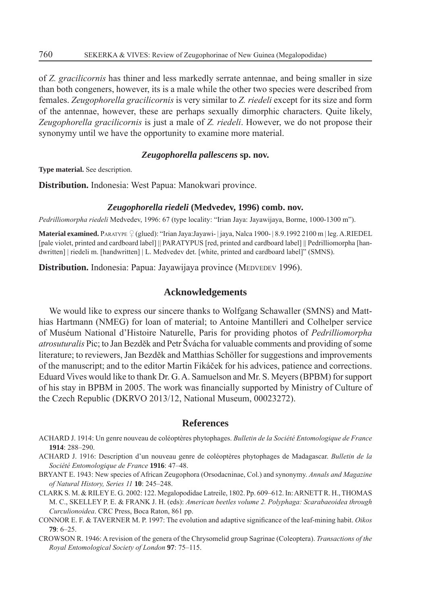of *Z. gracilicornis* has thiner and less markedly serrate antennae, and being smaller in size than both congeners, however, its is a male while the other two species were described from females. *Zeugophorella gracilicornis* is very similar to *Z. riedeli* except for its size and form of the antennae, however, these are perhaps sexually dimorphic characters. Quite likely, *Zeugophorella gracilicornis* is just a male of *Z. riedeli*. However, we do not propose their synonymy until we have the opportunity to examine more material.

## *Zeugophorella pallescens* **sp. nov.**

**Type material.** See description.

**Distribution.** Indonesia: West Papua: Manokwari province.

#### *Zeugophorella riedeli* **(Medvedev, 1996) comb. nov.**

*Pedrilliomorpha riedeli* Medvedev, 1996: 67 (type locality: "Irian Jaya: Jayawijaya, Borme, 1000-1300 m").

**Material examined.** PARATYPE (glued): "Irian Jaya:Jayawi- | jaya, Nalca 1900- | 8.9.1992 2100 m | leg. A.RIEDEL [pale violet, printed and cardboard label] || PARATYPUS [red, printed and cardboard label] || Pedrilliomorpha [handwritten] | riedeli m. [handwritten] | L. Medvedev det. [white, printed and cardboard label]" (SMNS).

**Distribution.** Indonesia: Papua: Jayawijaya province (MEDVEDEV 1996).

## **Acknowledgements**

We would like to express our sincere thanks to Wolfgang Schawaller (SMNS) and Matthias Hartmann (NMEG) for loan of material; to Antoine Mantilleri and Colhelper service of Muséum National d'Histoire Naturelle, Paris for providing photos of *Pedrilliomorpha atrosuturalis* Pic; to Jan Bezděk and Petr Švácha for valuable comments and providing of some literature; to reviewers, Jan Bezděk and Matthias Schöller for suggestions and improvements of the manuscript; and to the editor Martin Fikáček for his advices, patience and corrections. Eduard Vives would like to thank Dr. G. A. Samuelson and Mr. S. Meyers (BPBM) for support of his stay in BPBM in 2005. The work was financially supported by Ministry of Culture of the Czech Republic (DKRVO 2013/12, National Museum, 00023272).

### **References**

- ACHARD J. 1914: Un genre nouveau de coléoptères phytophages. *Bulletin de la Société Entomologique de France* **1914**: 288–290.
- ACHARD J. 1916: Description d'un nouveau genre de coléoptères phytophages de Madagascar. *Bulletin de la Société Entomologique de France* **1916**: 47–48.
- BRYANT E. 1943: New species of African Zeugophora (Orsodacninae, Col.) and synonymy. *Annals and Magazine of Natural History, Series 11* **10**: 245–248.
- CLARK S. M. & RILEY E. G. 2002: 122. Megalopodidae Latreile, 1802. Pp. 609–612. In: ARNETT R. H., THOMAS M. C., SKELLEY P. E. & FRANK J. H. (eds): *American beetles volume 2. Polyphaga: Scarabaeoidea through Curculionoidea*. CRC Press, Boca Raton, 861 pp.
- CONNOR E. F. & TAVERNER M. P. 1997: The evolution and adaptive significance of the leaf-mining habit. Oikos **79**: 6–25.
- CROWSON R. 1946: A revision of the genera of the Chrysomelid group Sagrinae (Coleoptera). *Transactions of the Royal Entomological Society of London* **97**: 75–115.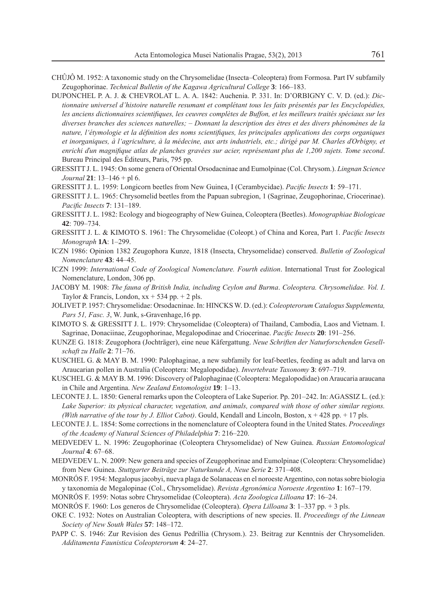- CHÛJÔ M. 1952: A taxonomic study on the Chrysomelidae (Insecta–Coleoptera) from Formosa. Part IV subfamily Zeugophorinae. *Technical Bulletin of the Kagawa Agricultural College* **3**: 166–183.
- DUPONCHEL P. A. J. & CHEVROLAT L. A. A. 1842: Auchenia. P. 331. In: D'ORBIGNY C. V. D. (ed.): *Dictionnaire universel d'histoire naturelle resumant et complétant tous les faits présentés par les Encyclopédies,*  les anciens dictionnaires scientifiques, les ceuvres complètes de Buffon, et les meilleurs traités spéciaux sur les *diverses branches des sciences naturelles; – Donnant la description des ètres et des divers phénomènes de la*  nature, l'étymologie et la définition des noms scientifiques, les principales applications des corps organiques *et inorganiques, à l'agriculture, à la médecine, aux arts industriels, etc.; dirigé par M. Charles ďOrbigny, et*  enrichi d'un magnifique atlas de planches gravées sur acier, représentant plus de 1,200 sujets. Tome second. Bureau Principal des Éditeurs, Paris, 795 pp.
- GRESSITT J. L. 1945: On some genera of Oriental Orsodacninae and Eumolpinae (Col. Chrysom.). *Lingnan Science Journal* **21**: 13–146 + pl 6.
- GRESSITT J. L. 1959: Longicorn beetles from New Guinea, I (Cerambycidae). *Pacifi c Insects* **1**: 59–171.
- GRESSITT J. L. 1965: Chrysomelid beetles from the Papuan subregion, 1 (Sagrinae, Zeugophorinae, Criocerinae). *Pacifi c Insects* **7**: 131–189.
- GRESSITT J. L. 1982: Ecology and biogeography of New Guinea, Coleoptera (Beetles). *Monographiae Biologicae* **42**: 709–734.
- GRESSITT J. L. & KIMOTO S. 1961: The Chrysomelidae (Coleopt.) of China and Korea, Part 1. *Pacific Insects Monograph* **1A**: 1–299.
- ICZN 1986: Opinion 1382 Zeugophora Kunze, 1818 (Insecta, Chrysomelidae) conserved. *Bulletin of Zoological Nomenclature* **43**: 44–45.
- ICZN 1999: *International Code of Zoological Nomenclature. Fourth edition*. International Trust for Zoological Nomenclature, London, 306 pp.
- JACOBY M. 1908: *The fauna of British India, including Ceylon and Burma*. *Coleoptera. Chrysomelidae. Vol. I*. Taylor & Francis, London,  $xx + 534$  pp.  $+ 2$  pls.
- JOLIVET P. 1957: Chrysomelidae: Orsodacninae. In: HINCKS W. D. (ed.): *Coleopterorum Catalogus Supplementa, Pars 51, Fasc. 3*, W. Junk, s-Gravenhage,16 pp.
- KIMOTO S. & GRESSITT J. L. 1979: Chrysomelidae (Coleoptera) of Thailand, Cambodia, Laos and Vietnam. I. Sagrinae, Donaciinae, Zeugophorinae, Megalopodinae and Criocerinae. *Pacific Insects* 20: 191–256.
- KUNZE G. 1818: Zeugophora (Jochträger), eine neue Käfergattung. *Neue Schriften der Naturforschenden Gesellschaft zu Halle* **2**: 71–76.
- KUSCHEL G. & MAY B. M. 1990: Palophaginae, a new subfamily for leaf-beetles, feeding as adult and larva on Araucarian pollen in Australia (Coleoptera: Megalopodidae). *Invertebrate Taxonomy* **3**: 697–719.
- KUSCHEL G. & MAY B. M. 1996: Discovery of Palophaginae (Coleoptera: Megalopodidae) on Araucaria araucana in Chile and Argentina. *New Zealand Entomologist* **19**: 1–13.
- LECONTE J. L. 1850: General remarks upon the Coleoptera of Lake Superior. Pp. 201–242. In: AGASSIZ L. (ed.): Lake Superior: its physical character, vegetation, and animals, compared with those of other similar regions. *(With narrative of the tour by J. Elliot Cabot)*. Gould, Kendall and Lincoln, Boston, x + 428 pp. + 17 pls.
- LECONTE J. L. 1854: Some corrections in the nomenclature of Coleoptera found in the United States. *Proceedings of the Academy of Natural Sciences of Philadelphia* **7**: 216–220.
- MEDVEDEV L. N. 1996: Zeugophorinae (Coleoptera Chrysomelidae) of New Guinea. *Russian Entomological Journal* **4**: 67–68.
- MEDVEDEV L. N. 2009: New genera and species of Zeugophorinae and Eumolpinae (Coleoptera: Chrysomelidae) from New Guinea. *Stuttgarter Beiträge zur Naturkunde A, Neue Serie* **2**: 371–408.
- MONRÓS F. 1954: Megalopus jacobyi, nueva plaga de Solanaceas en el noroeste Argentino, con notas sobre biologia y taxonomia de Megalopinae (Col., Chrysomelidae). *Revista Agronómica Noroeste Argentino* **1**: 167–179.
- MONRÓS F. 1959: Notas sobre Chrysomelidae (Coleoptera). *Acta Zoologica Lilloana* **17**: 16–24.
- MONRÓS F. 1960: Los generos de Chrysomelidae (Coleoptera). *Opera Lilloana* **3**: 1–337 pp. + 3 pls.
- OKE C. 1932: Notes on Australian Coleoptera, with descriptions of new species. II. *Proceedings of the Linnean Society of New South Wales* **57**: 148–172.
- PAPP C. S. 1946: Zur Revision des Genus Pedrillia (Chrysom.). 23. Beitrag zur Kenntnis der Chrysomeliden. *Additamenta Faunistica Coleopterorum* **4**: 24–27.